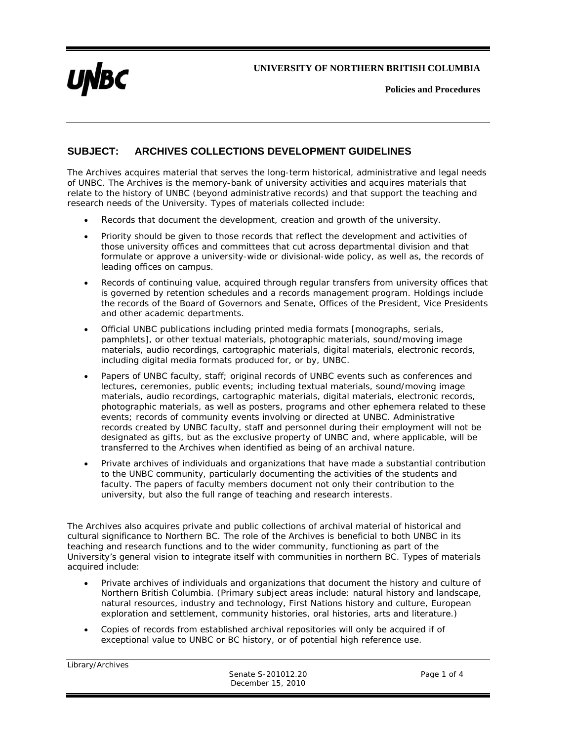**UNIVERSITY OF NORTHERN BRITISH COLUMBIA** 



**Policies and Procedures** 

## **SUBJECT: ARCHIVES COLLECTIONS DEVELOPMENT GUIDELINES**

The Archives acquires material that serves the long-term historical, administrative and legal needs of UNBC. The Archives is the memory-bank of university activities and acquires materials that relate to the history of UNBC (beyond administrative records) and that support the teaching and research needs of the University. Types of materials collected include:

- Records that document the development, creation and growth of the university.
- Priority should be given to those records that reflect the development and activities of those university offices and committees that cut across departmental division and that formulate or approve a university-wide or divisional-wide policy, as well as, the records of leading offices on campus.
- Records of continuing value, acquired through regular transfers from university offices that is governed by retention schedules and a records management program. Holdings include the records of the Board of Governors and Senate, Offices of the President, Vice Presidents and other academic departments.
- Official UNBC publications including printed media formats [monographs, serials, pamphlets], or other textual materials, photographic materials, sound/moving image materials, audio recordings, cartographic materials, digital materials, electronic records, including digital media formats produced for, or by, UNBC.
- Papers of UNBC faculty, staff; original records of UNBC events such as conferences and lectures, ceremonies, public events; including textual materials, sound/moving image materials, audio recordings, cartographic materials, digital materials, electronic records, photographic materials, as well as posters, programs and other ephemera related to these events; records of community events involving or directed at UNBC. Administrative records created by UNBC faculty, staff and personnel during their employment will not be designated as gifts, but as the exclusive property of UNBC and, where applicable, will be transferred to the Archives when identified as being of an archival nature.
- Private archives of individuals and organizations that have made a substantial contribution to the UNBC community, particularly documenting the activities of the students and faculty. The papers of faculty members document not only their contribution to the university, but also the full range of teaching and research interests.

The Archives also acquires private and public collections of archival material of historical and cultural significance to Northern BC. The role of the Archives is beneficial to both UNBC in its teaching and research functions and to the wider community, functioning as part of the University's general vision to integrate itself with communities in northern BC. Types of materials acquired include:

- Private archives of individuals and organizations that document the history and culture of Northern British Columbia. (Primary subject areas include: natural history and landscape, natural resources, industry and technology, First Nations history and culture, European exploration and settlement, community histories, oral histories, arts and literature.)
- Copies of records from established archival repositories will only be acquired if of exceptional value to UNBC or BC history, or of potential high reference use.

| Library/Archives |     |
|------------------|-----|
|                  | Sen |
|                  |     |

ate S-201012.20 Page 1 of 4 December 15, 2010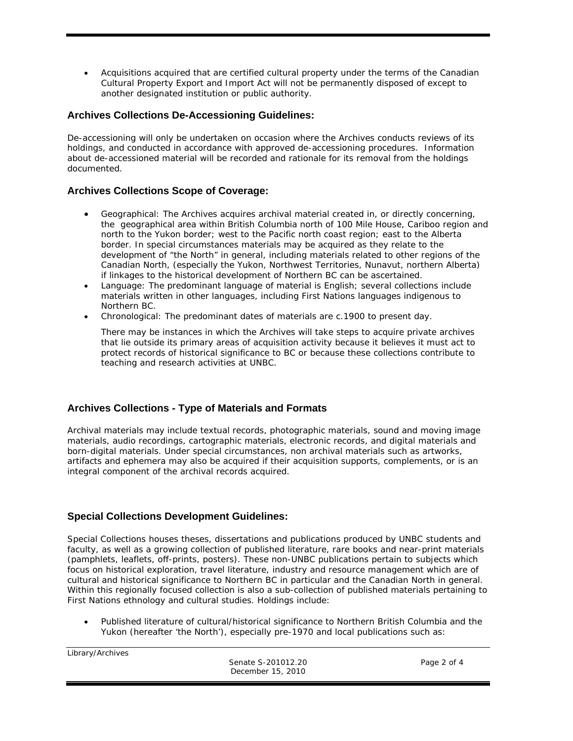Acquisitions acquired that are certified cultural property under the terms of the *Canadian Cultural Property Export and Import Act* will not be permanently disposed of except to another designated institution or public authority.

### **Archives Collections De-Accessioning Guidelines:**

De-accessioning will only be undertaken on occasion where the Archives conducts reviews of its holdings, and conducted in accordance with approved de-accessioning procedures. Information about de-accessioned material will be recorded and rationale for its removal from the holdings documented.

### **Archives Collections Scope of Coverage:**

- *Geographical*: The Archives acquires archival material created in, or directly concerning, the geographical area within British Columbia north of 100 Mile House, Cariboo region and north to the Yukon border; west to the Pacific north coast region; east to the Alberta border. In special circumstances materials may be acquired as they relate to the development of "the North" in general, including materials related to other regions of the Canadian North, (especially the Yukon, Northwest Territories, Nunavut, northern Alberta) if linkages to the historical development of Northern BC can be ascertained.
- *Language*: The predominant language of material is English; several collections include materials written in other languages, including First Nations languages indigenous to Northern BC.
- *Chronological*: The predominant dates of materials are c.1900 to present day.

There may be instances in which the Archives will take steps to acquire private archives that lie outside its primary areas of acquisition activity because it believes it must act to protect records of historical significance to BC or because these collections contribute to teaching and research activities at UNBC.

# **Archives Collections - Type of Materials and Formats**

Archival materials may include textual records, photographic materials, sound and moving image materials, audio recordings, cartographic materials, electronic records, and digital materials and born-digital materials. Under special circumstances, non archival materials such as artworks, artifacts and ephemera may also be acquired if their acquisition supports, complements, or is an integral component of the archival records acquired.

# **Special Collections Development Guidelines:**

Special Collections houses theses, dissertations and publications produced by UNBC students and faculty, as well as a growing collection of published literature, rare books and near-print materials (pamphlets, leaflets, off-prints, posters). These non-UNBC publications pertain to subjects which focus on historical exploration, travel literature, industry and resource management which are of cultural and historical significance to Northern BC in particular and the Canadian North in general. Within this regionally focused collection is also a sub-collection of published materials pertaining to First Nations ethnology and cultural studies. Holdings include:

 Published literature of cultural/historical significance to Northern British Columbia and the Yukon (hereafter 'the North'), especially pre-1970 and local publications such as:

Library/Archives

Senate S-201012.20 Page 2 of 4 December 15, 2010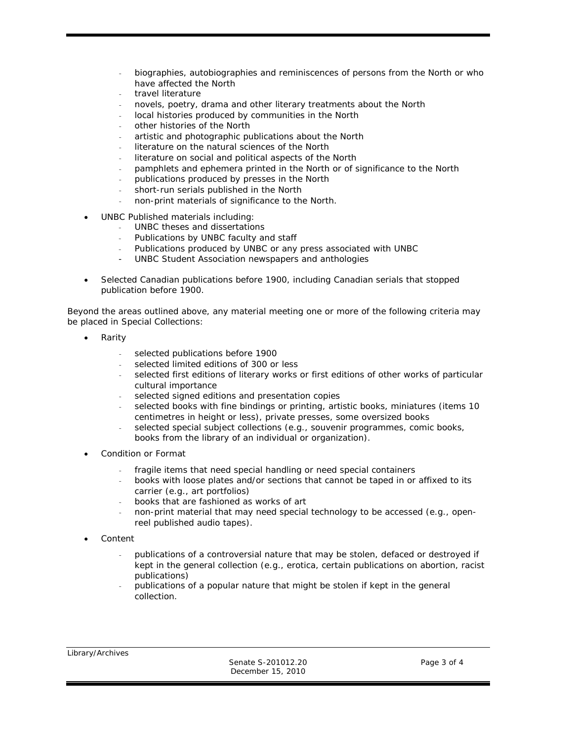- biographies, autobiographies and reminiscences of persons from the North or who have affected the North
- travel literature
- novels, poetry, drama and other literary treatments about the North
- local histories produced by communities in the North
- other histories of the North
- artistic and photographic publications about the North
- literature on the natural sciences of the North
- literature on social and political aspects of the North
- pamphlets and ephemera printed in the North or of significance to the North
- publications produced by presses in the North
- short-run serials published in the North
- non-print materials of significance to the North.
- UNBC Published materials including:
	- UNBC theses and dissertations
	- Publications by UNBC faculty and staff
	- Publications produced by UNBC or any press associated with UNBC
	- UNBC Student Association newspapers and anthologies
- Selected Canadian publications before 1900, including Canadian serials that stopped publication before 1900.

Beyond the areas outlined above, any material meeting one or more of the following criteria may be placed in Special Collections:

- Rarity
	- selected publications before 1900
	- selected limited editions of 300 or less
	- selected first editions of literary works or first editions of other works of particular cultural importance
	- selected signed editions and presentation copies
	- selected books with fine bindings or printing, artistic books, miniatures (items 10 centimetres in height or less), private presses, some oversized books
	- selected special subject collections (e.g., souvenir programmes, comic books, books from the library of an individual or organization).
- Condition or Format
	- fragile items that need special handling or need special containers
	- books with loose plates and/or sections that cannot be taped in or affixed to its carrier (e.g., art portfolios)
	- books that are fashioned as works of art
	- non-print material that may need special technology to be accessed (e.g., openreel published audio tapes).
- Content
	- publications of a controversial nature that may be stolen, defaced or destroyed if kept in the general collection (e.g., erotica, certain publications on abortion, racist publications)
	- publications of a popular nature that might be stolen if kept in the general collection.